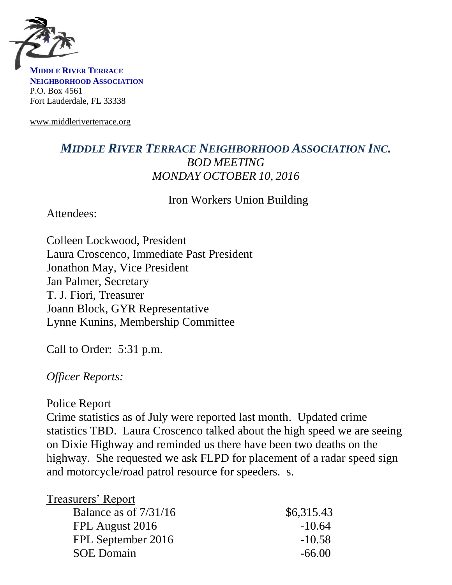

**MIDDLE RIVER TERRACE NEIGHBORHOOD ASSOCIATION** P.O. Box 4561 Fort Lauderdale, FL 33338

www.middleriverterrace.org

## *MIDDLE RIVER TERRACE NEIGHBORHOOD ASSOCIATION INC. BOD MEETING MONDAY OCTOBER 10, 2016*

Iron Workers Union Building

Attendees:

Colleen Lockwood, President Laura Croscenco, Immediate Past President Jonathon May, Vice President Jan Palmer, Secretary T. J. Fiori, Treasurer Joann Block, GYR Representative Lynne Kunins, Membership Committee

Call to Order: 5:31 p.m.

*Officer Reports:*

#### Police Report

Crime statistics as of July were reported last month. Updated crime statistics TBD. Laura Croscenco talked about the high speed we are seeing on Dixie Highway and reminded us there have been two deaths on the highway. She requested we ask FLPD for placement of a radar speed sign and motorcycle/road patrol resource for speeders. s.

| <b>Treasurers' Report</b> |            |
|---------------------------|------------|
| Balance as of $7/31/16$   | \$6,315.43 |
| FPL August 2016           | $-10.64$   |
| FPL September 2016        | $-10.58$   |
| <b>SOE Domain</b>         | $-66.00$   |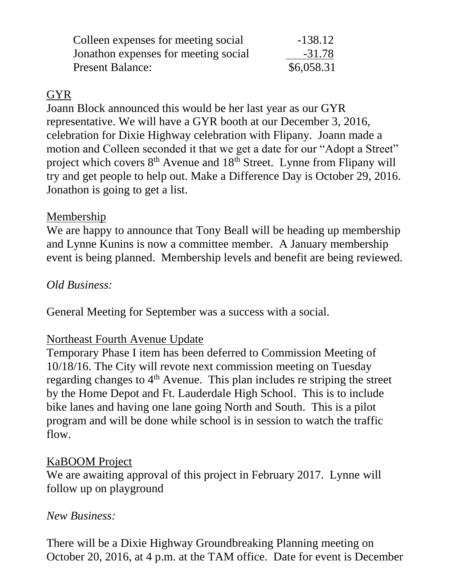| Colleen expenses for meeting social  | $-138.12$  |
|--------------------------------------|------------|
| Jonathon expenses for meeting social | $-31.78$   |
| <b>Present Balance:</b>              | \$6,058.31 |

## GYR

Joann Block announced this would be her last year as our GYR representative. We will have a GYR booth at our December 3, 2016, celebration for Dixie Highway celebration with Flipany. Joann made a motion and Colleen seconded it that we get a date for our "Adopt a Street" project which covers 8<sup>th</sup> Avenue and 18<sup>th</sup> Street. Lynne from Flipany will try and get people to help out. Make a Difference Day is October 29, 2016. Jonathon is going to get a list.

#### Membership

We are happy to announce that Tony Beall will be heading up membership and Lynne Kunins is now a committee member. A January membership event is being planned. Membership levels and benefit are being reviewed.

# *Old Business:*

General Meeting for September was a success with a social.

## Northeast Fourth Avenue Update

Temporary Phase I item has been deferred to Commission Meeting of 10/18/16. The City will revote next commission meeting on Tuesday regarding changes to 4<sup>th</sup> Avenue. This plan includes re striping the street by the Home Depot and Ft. Lauderdale High School. This is to include bike lanes and having one lane going North and South. This is a pilot program and will be done while school is in session to watch the traffic flow.

## KaBOOM Project

We are awaiting approval of this project in February 2017. Lynne will follow up on playground

## *New Business:*

There will be a Dixie Highway Groundbreaking Planning meeting on October 20, 2016, at 4 p.m. at the TAM office. Date for event is December